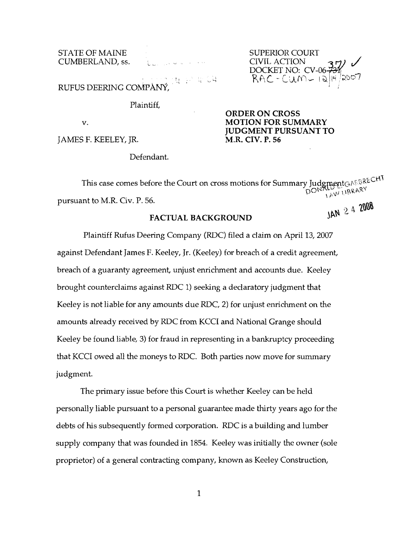STATE OF MAINE<br>
CUMBERLAND, ss. The subsequence of the SUPERIOR COURT<br>
CIVIL ACTION  $CUMBERLAND, \text{ss.}$  (because the civil ACTION  $37$ )  $\checkmark$ 

DOCKET,NO: CV-06<del>-731</del><br>DOCKET,NO: CV-06<del>-731</del> RUFUS DEERING COMPANY,

Plaintiff,

JAMES F. KEELEY, JR.

# **ORDER ON CROSS**  v. **MOTION FOR SUMMARY JUDGMENT PURSUANT TO**

Defendant.

This case comes before the Court on cross motions for Summary JudgmentGAFBRECHT  $\frac{1600}{1600}$  1.1BRARY pursuant to M.R. Civ. P. 56.

# FACTUAL BACKGROUND

Plaintiff Rufus Deering Company (RDC) filed a claim on April 13, 2007 against Defendant James F. Keeley, Jr. (Keeley) for breach of a credit agreement, breach of a guaranty agreement, unjust enrichment and accounts due. Keeley brought counterclaims against RDC 1) seeking a declaratory judgment that Keeley is not liable for any amounts due RDC, 2) for unjust enrichment on the amounts already received by RDC from KCCI and National Grange should Keeley be found liable, 3) for fraud in representing in a bankruptcy proceeding that KCCI owed all the moneys to RDC. Both parties now move for summary judgment.

The primary issue before this Court is whether Keeley can be held personally liable pursuant to a personal guarantee made thirty years ago for the debts of his subsequently formed corporation. RDC is a building and lumber supply company that was founded in 1854. Keeley was initially the owner (sole proprietor) of a general contracting company, known as Keeley Construction,

1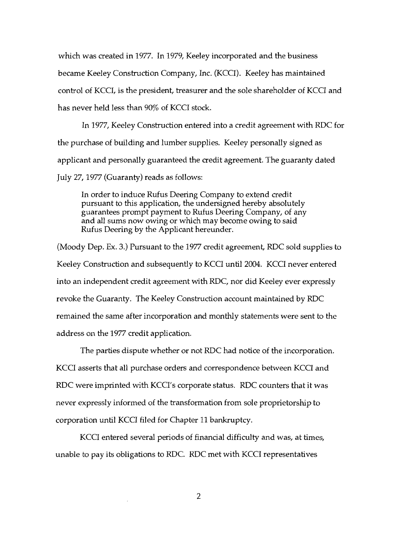which was created in 1977. In 1979, Keeley incorporated and the business became Keeley Construction Company, Inc. (KCCl). Keeley has maintained control of KCCI, is the president, treasurer and the sole shareholder of KCCI and has never held less than 90% of KCCI stock.

In 1977, Keeley Construction entered into a credit agreement with RDC for the purchase of building and lumber supplies. Keeley personally signed as applicant and personally guaranteed the credit agreement. The guaranty dated July 27, 1977 (Guaranty) reads as follows:

In order to induce Rufus Deering Company to extend credit pursuant to this application, the undersigned hereby absolutely guarantees prompt payment to Rufus Deering Company, of any and all sums now owing or which may become owing to said Rufus Deering by the Applicant hereunder.

(Moody Dep. Ex. 3.) Pursuant to the 1977 credit agreement, RDC sold supplies to Keeley Construction and subsequently to KCCI until 2004. KCCI never entered into an independent credit agreement with RDC, nor did Keeley ever expressly revoke the Guaranty. The Keeley Construction account maintained by RDC remained the same after incorporation and monthly statements were sent to the address on the 1977 credit application.

The parties dispute whether or not RDC had notice of the incorporation. KCCI asserts that all purchase orders and correspondence between KCCI and RDC were imprinted with KCCI's corporate status. RDC counters that it was never expressly informed of the transformation from sole proprietorship to corporation until KCCI filed for Chapter 11 bankruptcy.

KCCI entered several periods of financial difficulty and was, at times, unable to pay its obligations to RDC. RDC met with KCCI representatives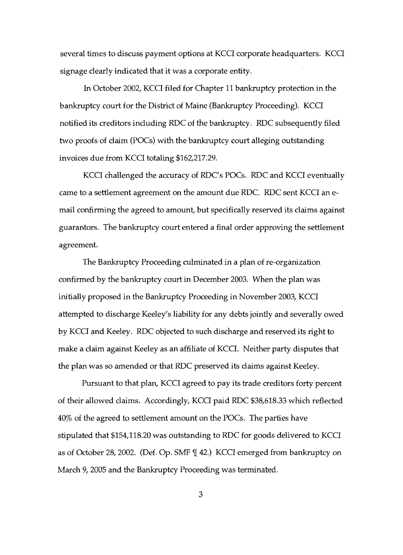several times to discuss payment options at KCCI corporate headquarters. KCCI signage clearly indicated that it was a corporate entity.

In October 2002, KCCI filed for Chapter 11 bankruptcy protection in the bankruptcy court for the District of Maine (Bankruptcy Proceeding). KCCI notified its creditors including RDC of the bankruptcy. RDC subsequently filed two proofs of claim (POCs) with the bankruptcy court alleging outstanding invoices due from KCCI totaling \$162,217.29.

KCCI challenged the accuracy of RDC's POCs. RDC and KCCI eventually came to a settlement agreement on the amount due RDC. RDC sent KCCI an email confirming the agreed to amount, but specifically reserved its claims against guarantors. The bankruptcy court entered a final order approving the settlement agreement.

The Bankruptcy Proceeding culminated in a plan of re-organization confirmed by the bankruptcy court in December 2003. When the plan was initially proposed in the Bankruptcy Proceeding in November 2003, KCCI attempted to discharge Keeley's liability for any debts jointly and severally owed by KCCI and Keeley. RDC objected to such discharge and reserved its right to make a claim against Keeley as an affiliate of KCCL Neither party disputes that the plan was so amended or that RDC preserved its claims against Keeley.

Pursuant to that plan, KCCI agreed to pay its trade creditors forty percent of their allowed claims. Accordingly, KCCI paid RDC \$38,618.33 which reflected 40% of the agreed to settlement amount on the POCs. The parties have stipulated that \$154,118.20 was outstanding to RDC for goods delivered to KCCI as of October 28, 2002. (Def. Op. SMF  $\mathbb {I}$  42.) KCCI emerged from bankruptcy on March 9, 2005 and the Bankruptcy Proceeding was terminated.

3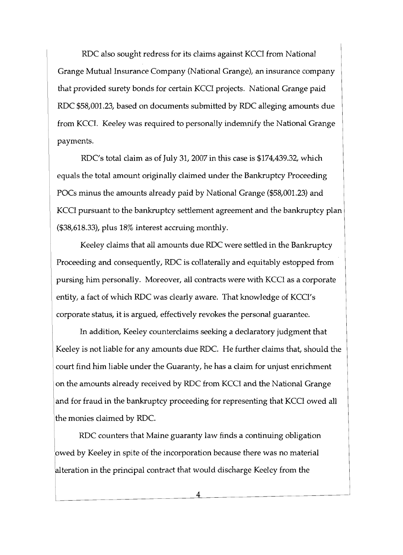RDC also sought redress for its claims against KCCI from National Grange Mutual Insurance Company (National Grange), an insurance company that provided surety bonds for certain KCCI projects. National Grange paid RDC \$58,001.23, based on documents submitted by RDC alleging amounts due from KCCl. Keeley was required to personally indemnify the National Grange payments.

RDC's total claim as of July 31, 2007 in this case is \$174,439.32, which equals the total amount originally claimed under the Bankruptcy Proceeding POCs minus the amounts already paid by National Grange (\$58,001.23) and KCCI pursuant to the bankruptcy settlement agreement and the bankruptcy plan (\$38,618.33), plus 18% interest accruing monthly.

Keeley claims that all amounts due RDC were settled in the Bankruptcy Proceeding and consequently, RDC is collaterally and equitably estopped from pursing him personally. Moreover, all contracts were with KCCI as a corporate entity, a fact of which RDC was clearly aware. That knowledge of KCCl's corporate status, it is argued, effectively revokes the personal guarantee.

In addition, Keeley counterclaims seeking a declaratory judgment that Keeley is not liable for any amounts due RDC. He further claims that, should the court find him liable under the Guaranty, he has a claim for unjust enrichment on the amounts already received by RDC from KCCI and the National Grange and for fraud in the bankruptcy proceeding for representing that KCCI owed all the monies claimed by RDC.

RDC counters that Maine guaranty law finds a continuing obligation owed by Keeley in spite of the incorporation because there was no material lalteration in the principal contract that would discharge Keeley from the

4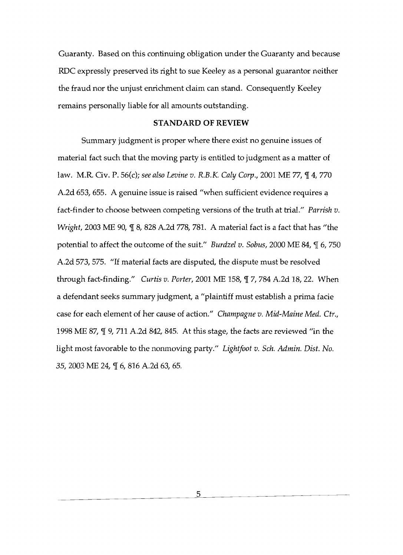Guaranty. Based on this continuing obligation under the Guaranty and because ROC expressly preserved its right to sue Keeley as a personal guarantor neither the fraud nor the unjust enrichment claim can stand. Consequently Keeley remains personally liable for all amounts outstanding.

#### **STANDARD** OF REVIEW

Summary judgment is proper where there exist no genuine issues of material fact such that the moving party is entitled to judgment as a matter of law. M.R. Civ. P. 56(c); see also Levine v. R.B.K. Caly Corp., 2001 ME 77,  $\P$  4, 770 A.2d 653, 655. A genuine issue is raised "when sufficient evidence requires a fact-finder to choose between competing versions of the truth at trial." *Parrish v. Wright, 2003 ME 90, ¶ 8, 828 A.2d 778, 781. A material fact is a fact that has "the* potential to affect the outcome of the suit." *Burdzel v. Sobus,* 2000 ME 84,  $\P$  6, 750 A.2d 573, 575. "If material facts are disputed, the dispute must be resolved through fact-finding." *Curtis v. Porter,* 2001 ME 158,  $\P$  7, 784 A.2d 18, 22. When a defendant seeks summary judgment, a "plaintiff must establish a prima facie case for each element of her cause of action." *Champagne v. Mid-Maine Med. Ctr.,*  1998 ME 87,  $\P$  9, 711 A.2d 842, 845. At this stage, the facts are reviewed "in the light most favorable to the nonmoving party." *Lightfoot v. Sch. Admin. Dist. No.*  35, 2003 ME 24, ¶ 6, 816 A.2d 63, 65.

> 5 l,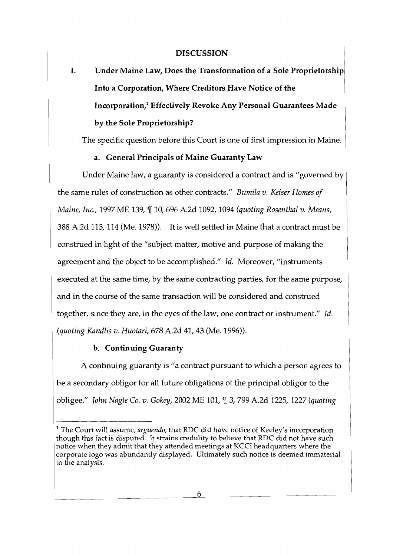#### **DISCUSSION**

# I. Under Maine Law, Does the Transformation of a Sole Proprietorship Into a Corporation, Where Creditors Have Notice of the Incorporation/ Effectively Revoke Any Personal Guarantees Made by the Sole Proprietorship?

The specific question before this Court is one of first impression in Maine.

# a. General Principals of Maine Guaranty Law

Under Maine law, a guaranty is considered a contract and is "governed by the same rules of construction as other contracts." *Bumila v. Keiser Homes of Maine, Inc.,* 1997 ME 139,  $\mathbb{I}$  10, 696 A.2d 1092, 1094 *(quoting Rosenthal v. Means,* 388 A.2d 113, 114 (Me. 1978». It is well settled in Maine that a contract must be construed in light of the "subject matter, motive and purpose of making the agreement and the object to be accomplished." *Id.* Moreover, "instruments executed at the same time, by the same contracting parties, for the same purpose, and in the course of the same transaction will be considered and construed together, since they are, in the eyes of the law, one contract or instrument." *Id. (quoting Kandlis v. Huotari,* 678 A.2d 41, 43 (Me. 1996».

#### b. Continuing Guaranty

A continuing guaranty is "a contract pursuant to which a person agrees to be a secondary obligor for all future obligations of the principal obligor to the obligee." *John Nagle Co. v. Gokey,* 2002 ME 101, 3, 799 A.2d 1225, 1227 *(quoting* 

<sup>1</sup> The Court will assume, *arguendo,* that RDC did have notice of Keeley's incorporation though this fact is disputed. It strains credulity to believe that RDC did not have such notice when they admit that they attended meetings at KCCl headquarters where the corporate logo was abundantly displayed. Ultimately such notice is deemed immaterial to the analysis.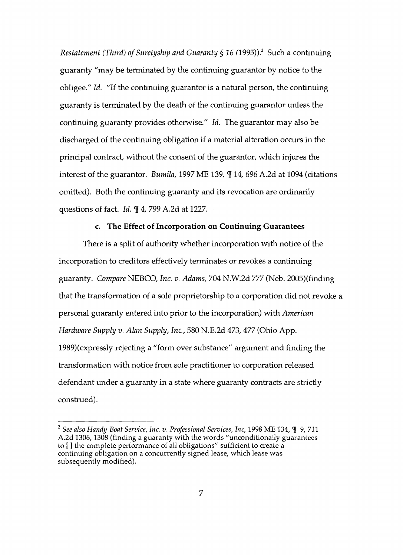*Restatement (Third) of Suretyship and Guaranty § 16 (1995))*.<sup>2</sup> Such a continuing guaranty "may be terminated by the continuing guarantor by notice to the obligee." *Id.* "If the continuing guarantor is a natural person, the continuing guaranty is terminated by the death of the continuing guarantor unless the continuing guaranty provides otherwise." *Id.* The guarantor may also be discharged of the continuing obligation if a material alteration occurs in the principal contract, without the consent of the guarantor, which injures the interest of the guarantor. *Bumila*, 1997 ME 139, \leq 14, 696 A.2d at 1094 (citations omitted). Both the continuing guaranty and its revocation are ordinarily questions of fact. *Id.* 14, 799 A.2d at 1227.

#### c. **The Effect of Incorporation on Continuing Guarantees**

There is a split of authority whether incorporation with notice of the incorporation to creditors effectively terminates or revokes a continuing guaranty. *Compare* NEBCO, *Inc. v. Adams,* 704 N.W.2d 777 (Neb. 2005)(finding that the transformation of a sole proprietorship to a corporation did not revoke a personal guaranty entered into prior to the incorporation) with *American Hardware Supply v. Alan Supply, Inc.,* 580 N.E.2d 473, 477 (Ohio App. 1989)(expressly rejecting a "form over substance" argument and finding the transformation with notice from sole practitioner to corporation released defendant under a guaranty in a state where guaranty contracts are strictly construed).

<sup>&</sup>lt;sup>2</sup> See also Handy Boat Service, Inc. v. Professional Services, Inc, 1998 ME 134, ¶ 9, 711 A.2d 1306, 1308 (finding a guaranty with the words "unconditionally guarantees to [ ] the complete performance of all obligations" sufficient to create a continuing obligation on a concurrently signed lease, which lease was subsequently modified).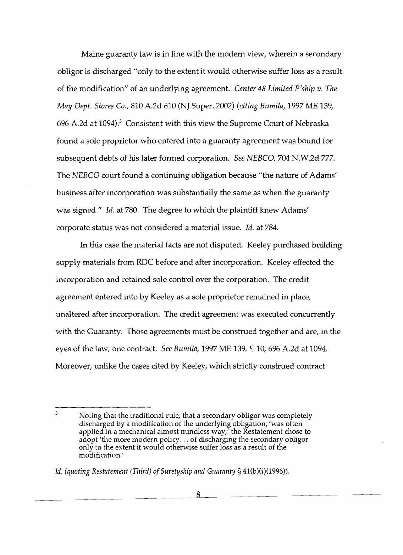Maine guaranty law is in line with the modem view, wherein a secondary obligor is discharged "only to the extent it would otherwise suffer loss as a result of the modification" of an underlying agreement. *Center* 48 *Limited P'ship v. The May Dept. Stores Co.,* 810 A.2d 610 (NJ Super. 2002) *(citing Bumila,* 1997 ME 139, 696 A.2d at  $1094$ .<sup>3</sup> Consistent with this view the Supreme Court of Nebraska found a sole proprietor who entered into a guaranty agreement was bound for subsequent debts of his later formed corporation. *See NEBCO,* 704 N.W.2d 777. The *NEBCO* court found a continuing obligation because "the nature of Adams' business after incorporation was substantially the same as when the guaranty was signed." *Id.* at 780. The degree to which the plaintiff knew Adams' corporate status was not considered a material issue. Id. at 784.

In this case the material facts are not disputed. Keeley purchased building supply materials from RDC before and after incorporation. Keeley effected the incorporation and retained sole control over the corporation. The credit agreement entered into by Keeley as a sole proprietor remained in place, unaltered after incorporation. The credit agreement was executed concurrently with the Guaranty. Those agreements must be construed together and are, in the eyes of the law, one contract. *See Bumila*, 1997 ME 139,  $\P$  10, 696 A.2d at 1094. Moreover, unlike the cases cited by Keeley, which strictly construed contract

<sup>3</sup>  Noting that the traditional rule, that a secondary obligor was completely discharged by a modification of the underlying obligation, 'was often applied in a mechanical almost mindless way,' the Restatement chose to adopt 'the more modern policy... of discharging the secondary obligor only to the extent it would otherwise suffer loss as a result of the modification.'

*<sup>[</sup>d. (quoting Restatement (Third) of Suretyship and Guaranty* § 41(b)(i)(1996)).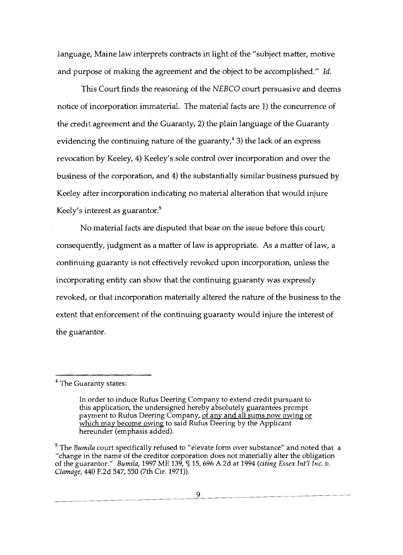language, Maine law interprets contracts in light of the "subject matter, motive and purpose of making the agreement and the object to be accomplished." *Id.* 

This Court finds the reasoning of the *NEBCO* court persuasive and deems notice of incorporation immaterial. The material facts are 1) the concurrence of the credit agreement and the Guaranty, 2) the plain language of the Guaranty evidencing the continuing nature of the guaranty, $4$  3) the lack of an express revocation by Keeley, 4) Keeley's sole control over incorporation and over the business of the corporation, and 4) the substantially similar business pursued by Keeley after incorporation indicating no material alteration that would injure Keely's interest as guarantor. $5$ 

No material facts are disputed that bear on the issue before this court; consequently, judgment as a matter of law is appropriate. As a matter of law, a continuing guaranty is not effectively revoked upon incorporation, unless the incorporating entity can show that the continuing guaranty was expressly revoked, or that incorporation materially altered the nature of the business to the extent that enforcement of the continuing guaranty would injure the interest of the guarantor.

<sup>&</sup>lt;sup>4</sup> The Guaranty states:

In order to induce Rufus Deering Company to extend credit pursuant to this application, the undersigned hereby absolutely guarantees prompt payment to Rufus Deering Company, of any and all sums now owing or which may become owing to said Rufus Deering by the Applicant hereunder (emphasis added).

<sup>&</sup>lt;sup>5</sup> The *Bumila* court specifically refused to "elevate form over substance" and noted that a "change in the name of the creditor corporation does not materially alter the obligation of the guarantor." *Bumiia,* 1997 ME 139, 'lI 15, 696 A.2d at 1994 *(citing Essex Int'i Inc. v. Clamage,* 440 F.2d 547, 550 (7th Cir. 1971)).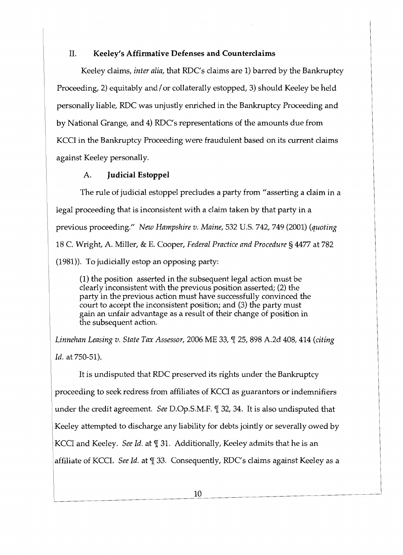# II. **Keeley's Affirmative Defenses and Counterclaims**

Keeley claims, *inter alia,* that RDC's claims are 1) barred by the Bankruptcy Proceeding, 2) equitably and/ or collaterally estopped, 3) should Keeley be held personally liable, RDC was unjustly enriched in the Bankruptcy Proceeding and by National Grange, and 4) RDC's representations of the amounts due from KCCl in the Bankruptcy Proceeding were fraudulent based on its current claims against Keeley personally.

# A. **Judicial Estoppel**

The rule of judicial estoppel precludes a party from "asserting a claim in a legal proceeding that is inconsistent with a claim taken by that party in a previous proceeding./I *New Hampshire v. Maine,* 532 U.s. 742, 749 (2001) *(quoting*  18 C. Wright, A. Miller, & E. Cooper, *Federal Practice and Procedure* § 4477 at 782 (1981)). To judicially estop an opposing party:

(1) the position asserted in the subsequent legal action must be clearly inconsistent with the previous position asserted; (2) the party in the previous action must have successfully convinced the court to accept the inconsistent position; and (3) the party must gain an unfair advantage as a result of their change of position in the subsequent action.

*Linnehan Leasing v. State Tax Assessor, 2006 ME 33, [[ 25, 898 A.2d 408, 414 (citing Id.* at 750-51).

It is undisputed that RDC preserved its rights under the Bankruptcy proceeding to seek redress from affiliates of KCCl as guarantors or indemnifiers under the credit agreement. *See* D.Op.S.M.F. *[1]* 32, 34. It is also undisputed that Keeley attempted to discharge any liability for debts jointly or severally owed by KCCI and Keeley. *See Id.* at  $\P$  31. Additionally, Keeley admits that he is an affiliate of KCCI. *See Id.* at  $\P$  33. Consequently, RDC's claims against Keeley as a

 $\overline{a}$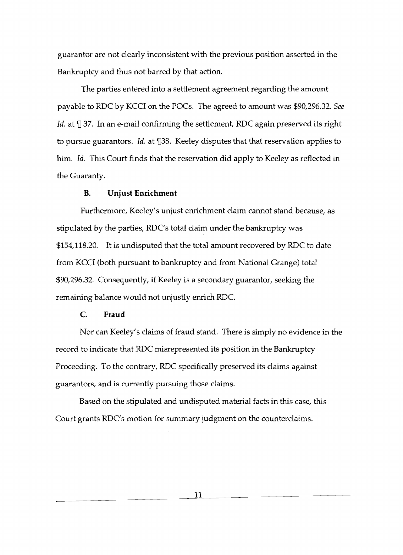guarantor are not clearly inconsistent with the previous position asserted in the Bankruptcy and thus not barred by that action.

The parties entered into a settlement agreement regarding the amount payable to RDC by KCCl on the POCs. The agreed to amount was \$90,296.32. *See Id.* at  $\mathbb{I}$  37. In an e-mail confirming the settlement, RDC again preserved its right to pursue guarantors. *Id.* at 138. Keeley disputes that that reservation applies to him. *Id.* This Court finds that the reservation did apply to Keeley as reflected in the Guaranty.

#### **B. Unjust Enrichment**

Furthermore, Keeley's unjust enrichment claim cannot stand because, as stipulated by the parties, RDC's total claim under the bankruptcy was \$154,118.20. It is undisputed that the total amount recovered by RDC to date from KCCl (both pursuant to bankruptcy and from National Grange) total \$90,296.32. Consequently, if Keeley is a secondary guarantor, seeking the remaining balance would not unjustly enrich RDC.

# C. **Fraud**

Nor can Keeley's claims of fraud stand. There is simply no evidence in the record to indicate that RDC misrepresented its position in the Bankruptcy Proceeding. To the contrary, RDC specifically preserved its claims against guarantors, and is currently pursuing those claims.

Based on the stipulated and undisputed material facts in this case, this Court grants RDC's motion for summary judgment on the counterclaims.

11

J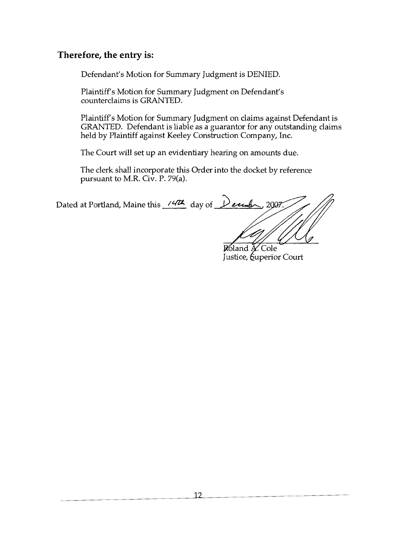# **Therefore, the entry is:**

Defendant's Motion for Summary Judgment is DENIED.

Plaintiff's Motion for Summary Judgment on Defendant's counterclaims is GRANTED.

Plaintiff's Motion for Summary Judgment on claims against Defendant is GRANTED. Defendant is liable as a guarantor for any outstanding claims held by Plaintiff against Keeley Construction Company, Inc.

The Court will set up an evidentiary hearing on amounts due.

The clerk shall incorporate this Order into the docket by reference pursuant to M.R. Civ. P. 79(a).

Dated at Portland, Maine this 14th day of Dende, 2007

Roland A. Cole Justice, *Superior* Court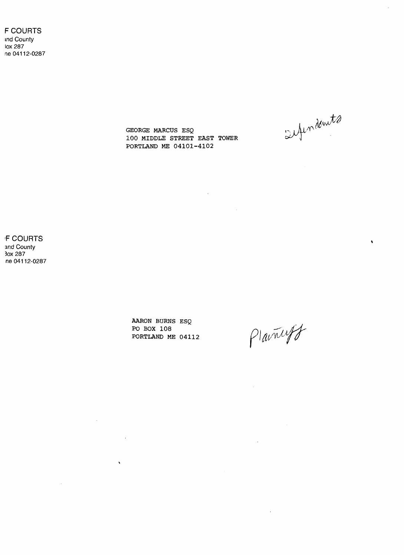F COURTS tnd County lox 287 ne 04112-0287

sufindents

 $\hat{\textbf{v}}$ 

GEORGE MARCUS ESQ 100 MIDDLE STREET EAST TOWER PORTLAND ME 04101-4102

 $\mathcal{L}(\mathcal{A})$  and  $\mathcal{L}(\mathcal{A})$ 

 $\sim 10$ 

**F COURTS** and County 30x 287 ne 04112-0287

> AARON BURNS ESQ PO BOX 108 PORTLAND ME 04112

 $\label{eq:2.1} \frac{1}{\sqrt{2}}\int_{\mathbb{R}^3} \frac{1}{\sqrt{2}}\left(\frac{1}{\sqrt{2}}\right)^2\left(\frac{1}{\sqrt{2}}\right)^2\left(\frac{1}{\sqrt{2}}\right)^2\left(\frac{1}{\sqrt{2}}\right)^2.$ 

 $\sim 10^{-10}$ 

 $\sim 10^{11}$  km  $^{-1}$ 

 $\hat{\mathbf{A}}$ 

Plainceff

 $\mathcal{L}^{\text{max}}_{\text{max}}$  ,  $\mathcal{L}^{\text{max}}_{\text{max}}$ 

 $\mathcal{L}(\mathcal{A})$  and  $\mathcal{L}(\mathcal{A})$ 

 $\sim 10^{-10}$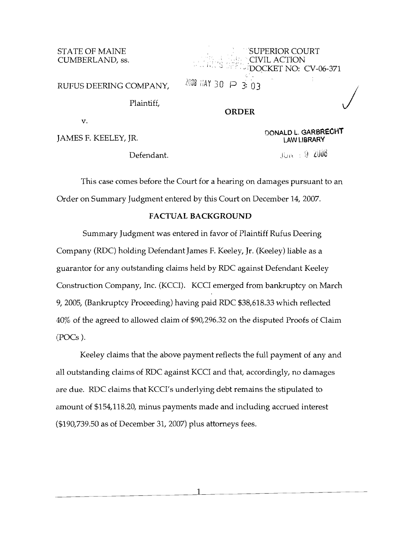STATE OF MAINE CUMBERLAND, ss.

|            | <b>SUPERIOR COURT</b><br>EXPERIENCE ACTION<br>BELLEVIS SEE LEDOCKET NO: CV-06-371 |  |
|------------|-----------------------------------------------------------------------------------|--|
|            |                                                                                   |  |
| OMPANY,    | 2008 HAY 30 $\wp$ 3: 03                                                           |  |
| Plaintiff, | RDER                                                                              |  |

RUFUS DEERING COMPANY,

v.

JAMES F. KEELEY, JR.

 $Defendant.$  )  $100<sup>1</sup>$   $10<sup>1</sup>$ 

**DONALOL.GAR8RECHT** 

This case comes before the Court for a hearing on damages pursuant to an Order on Summary Judgment entered by this Court on December 14,2007.

# FACTUAL BACKGROUND

Summary Judgment was entered in favor of Plaintiff Rufus Deering Company (RDC) holding Defendant James F. Keeley, Jr. (Keeley) liable as a guarantor for any outstanding claims held by RDC against Defendant Keeley Construction Company, Inc. (KCCI). KCCI emerged from bankruptcy on March 9,2005, (Bankruptcy Proceeding) having paid RDC \$38,618.33 which reflected ·10% of the agreed to allowed claim of \$90,296.32 on the disputed Proofs of Claim (POCs ).

Keeley claims that the above payment reflects the full payment of any and all outstanding claims of RDC against KCCI and that, accordingly, no damages are due. RDC claims that KCCI's underlying debt remains the stipulated to amount of \$154,118.20, minus payments made and including accrued interest (\$190,739.50 as of December 31, 2007) plus attorneys fees.

> 1  $\overline{a}$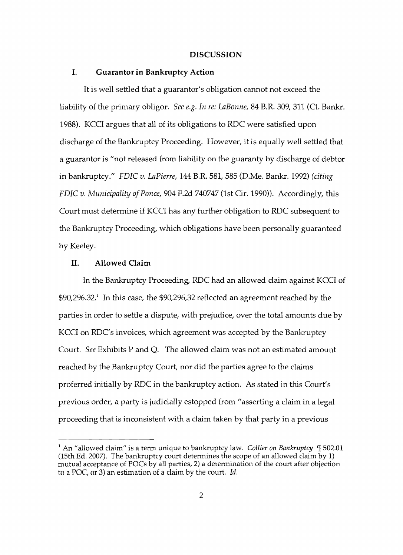#### **DISCUSSION**

#### **I. Guarantor in Bankruptcy Action**

It is well settled that a guarantor's obligation cannot not exceed the liability of the primary obligor. *See e.g. In re: LaBonne,* 84 B.R. 309, 311 (Ct. Bankr. 1988). KCCI argues that all of its obligations to RDC were satisfied upon discharge of the Bankruptcy Proceeding. However, it is equally well settled that a guarantor is "not released from liability on the guaranty by discharge of debtor in bankruptcy." *FDIC v. LaPierre,* 144 B.R. 581, 585 (D.Me. Bankr. 1992) *(citing FDIC v. Municipality of Ponce,* 904 F.2d 740747 (Ist Cir. 1990)). Accordingly, this Court must determine if KCCI has any further obligation to RDC subsequent to the Bankruptcy Proceeding, which obligations have been personally guaranteed by Keeley.

#### **II. Allowed Claim**

In the Bankruptcy Proceeding, RDC had an allowed claim against KCCI of  $$90,296.32$ <sup>1</sup> In this case, the  $$90,296,32$  reflected an agreement reached by the parties in order to settle a dispute, with prejudice, over the total amounts due by KCCI on RDC's invoices, which agreement was accepted by the Bankruptcy Court. *See* Exhibits P and Q. The allowed claim was not an estimated amount reached by the Bankruptcy Court, nor did the parties agree to the claims proferred initially by RDC in the bankruptcy action. As stated in this Court's previous order, a party is judicially estopped from "asserting a claim in a legal proceeding that is inconsistent with a claim taken by that party in a previous

 $^{\rm l}$  An "allowed claim" is a term unique to bankruptcy law. *Collier on Bankruptcy*  $\rm\,II\,502.01$ (l5th Ed. 2007). The bankruptcy court determines the scope of an allowed claim by 1) mutual acceptance of POCs by all parties, 2) a determination of the court after objection to a POc, or 3) an estimation of a claim by the court. *Id.*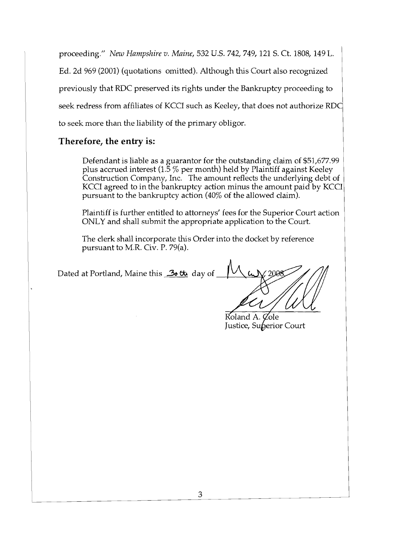proceeding." *New Hampshire v. Maine,* 532 U.S. 742, 749, 121 S. Ct. 1808, 149 L.

Ed. 2d 969 (2001) (quotations omitted). Although this Court also recognized

previously that RDC preserved its rights under the Bankruptcy proceeding to

seek redress from affiliates of KCCI such as Keeley, that does not authorize RDC

to seek more than the liability of the primary obligor.

# **Therefore, the entry is:**

Defendant is liable as a guarantor for the outstanding claim of \$51,677.99 plus accrued interest (1.5  $\%$  per month) held by Plaintiff against Keeley Construction Company, Inc. The amount reflects the underlying debt of KCCI agreed to in the bankruptcy action minus the amount paid by KCCI pursuant to the bankruptcy action (40% of the allowed claim).

Plaintiff is further entitled to attorneys' fees for the Superior Court action ONLY and shall submit the appropriate application to the Court.

The clerk shall incorporate this Order into the docket by reference pursuant to M.R. Civ. P. 79(a).

Dated at Portland, Maine this 36th day of

Roland A. Cole Justice, Superior Court